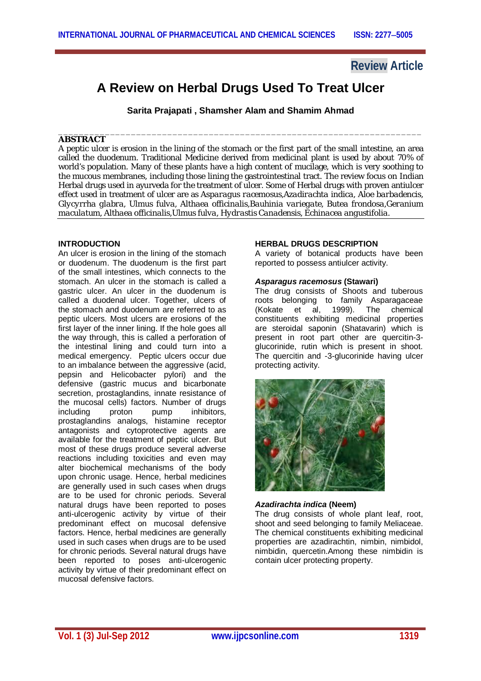# **Review Article**

# **A Review on Herbal Drugs Used To Treat Ulcer**

**Sarita Prajapati , Shamsher Alam and Shamim Ahmad**

#### \_\_\_\_\_\_\_\_\_\_\_\_\_\_\_\_\_\_\_\_\_\_\_\_\_\_\_\_\_\_\_\_\_\_\_\_\_\_\_\_\_\_\_\_\_\_\_\_\_\_\_\_\_\_\_\_\_\_\_\_\_\_\_\_\_\_\_\_\_\_ **ABSTRACT**

A peptic ulcer is erosion in the lining of the stomach or the first part of the small intestine, an area called the duodenum. Traditional Medicine derived from medicinal plant is used by about 70% of world's population. Many of these plants have a high content of mucilage, which is very soothing to the mucous membranes, including those lining the gastrointestinal tract. The review focus on Indian Herbal drugs used in ayurveda for the treatment of ulcer. Some of Herbal drugs with proven antiulcer effect used in treatment of ulcer are as *Asparagus racemosus,Azadirachta indica, Aloe barbadencis, Glycyrrha glabra, Ulmus fulva, Althaea officinalis,Bauhinia variegate, Butea frondosa,Geranium maculatum, Althaea officinalis,Ulmus fulva, Hydrastis Canadensis, Echinacea angustifolia.*

#### **INTRODUCTION**

An ulcer is erosion in the lining of the stomach or duodenum. The duodenum is the first part of the small intestines, which connects to the stomach. An ulcer in the stomach is called a gastric ulcer. An ulcer in the duodenum is called a duodenal ulcer. Together, ulcers of the stomach and duodenum are referred to as peptic ulcers. Most ulcers are erosions of the first layer of the inner lining. If the hole goes all the way through, this is called a perforation of the intestinal lining and could turn into a medical emergency. Peptic ulcers occur due to an imbalance between the aggressive (acid, pepsin and Helicobacter pylori) and the defensive (gastric mucus and bicarbonate secretion, prostaglandins, innate resistance of the mucosal cells) factors. Number of drugs<br>including proton pump inhibitors. including proton pump inhibitors, prostaglandins analogs, histamine receptor antagonists and cytoprotective agents are available for the treatment of peptic ulcer. But most of these drugs produce several adverse reactions including toxicities and even may alter biochemical mechanisms of the body upon chronic usage. Hence, herbal medicines are generally used in such cases when drugs are to be used for chronic periods. Several natural drugs have been reported to poses anti-ulcerogenic activity by virtue of their predominant effect on mucosal defensive factors. Hence, herbal medicines are generally used in such cases when drugs are to be used for chronic periods. Several natural drugs have been reported to poses anti-ulcerogenic activity by virtue of their predominant effect on mucosal defensive factors.

#### **HERBAL DRUGS DESCRIPTION**

A variety of botanical products have been reported to possess antiulcer activity.

#### *Asparagus racemosus* **(Stawari)**

The drug consists of Shoots and tuberous roots belonging to family Asparagaceae (Kokate et al, 1999). The chemical constituents exhibiting medicinal properties are steroidal saponin (Shatavarin) which is present in root part other are quercitin-3 glucorinide, rutin which is present in shoot. The quercitin and -3-glucorinide having ulcer protecting activity.



## *Azadirachta indica* **(Neem)**

The drug consists of whole plant leaf, root, shoot and seed belonging to family Meliaceae. The chemical constituents exhibiting medicinal properties are azadirachtin, nimbin, nimbidol, nimbidin, quercetin.Among these nimbidin is contain ulcer protecting property.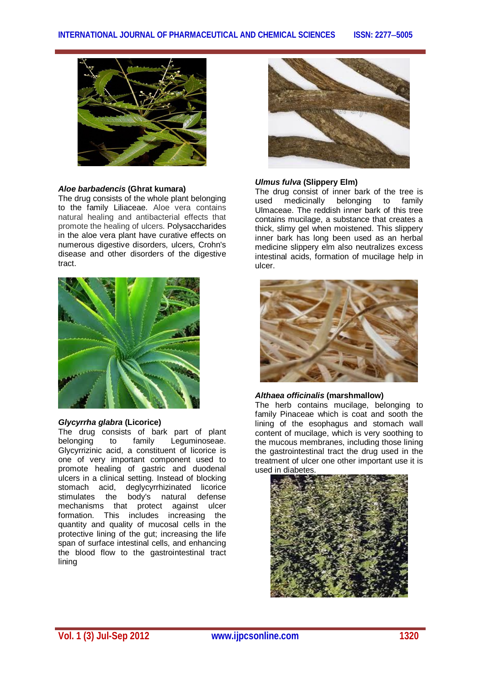

## *Aloe barbadencis* **(Ghrat kumara)**

The drug consists of the whole plant belonging to the family Liliaceae. Aloe vera contains natural healing and antibacterial effects that promote the healing of ulcers. Polysaccharides in the aloe vera plant have curative effects on numerous digestive disorders, ulcers, Crohn's disease and other disorders of the digestive tract.



#### *Glycyrrha glabra* **(Licorice)**

The drug consists of bark part of plant belonging to family Leguminoseae. Glycyrrizinic acid, a constituent of licorice is one of very important component used to promote healing of gastric and duodenal ulcers in a clinical setting. Instead of blocking stomach acid, deglycyrrhizinated licorice stimulates the body's natural defense mechanisms that protect against ulcer formation. This includes increasing the quantity and quality of mucosal cells in the protective lining of the gut; increasing the life span of surface intestinal cells, and enhancing the blood flow to the gastrointestinal tract lining



#### *Ulmus fulva* **(Slippery Elm)**

The drug consist of inner bark of the tree is used medicinally belonging to family Ulmaceae. The reddish inner bark of this tree contains mucilage, a substance that creates a thick, slimy gel when moistened. This slippery inner bark has long been used as an herbal medicine slippery elm also neutralizes excess intestinal acids, formation of mucilage help in ulcer.



## *Althaea officinalis* **(marshmallow)**

The herb contains mucilage, belonging to family Pinaceae which is coat and sooth the lining of the esophagus and stomach wall content of mucilage, which is very soothing to the mucous membranes, including those lining the gastrointestinal tract the drug used in the treatment of ulcer one other important use it is used in diabetes.